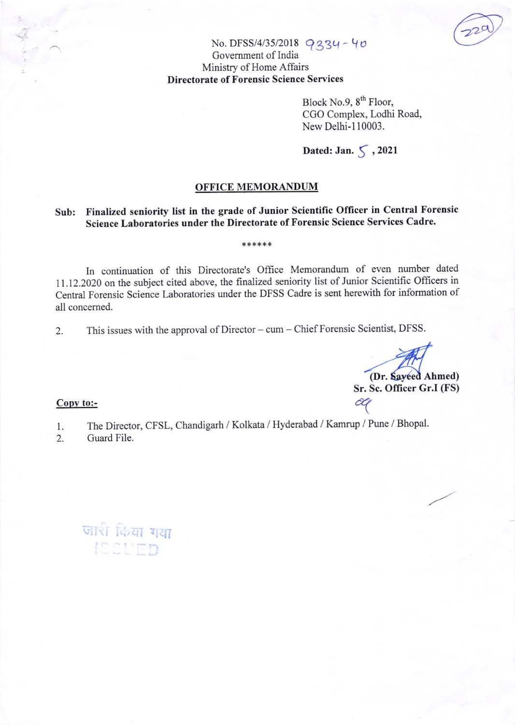### No. DFSS/4/35/2018  $934 - 40$ Govemment of India Ministry of Home Affairs Directorate of Forensic Science Services

Block No.9, 8<sup>th</sup> Floor, CGO Complex, Lodhi Road, New Delhi-110003.

### Dated: Jan.  $\zeta$ , 2021

#### OFFICE MEMORANDUM

## Sub: Finalized seniority list in the grade of Junior Scientific Officer in Central Forensic Science Laboratories under the Directorate of Forensic Science Services Cadre.

\*\*\*\*\*\*

#### In continuation of this Directorate's Office Memorandum of even number dated ll.l2.212} on the subject cited above, the finalized seniority list of Junior Scientific Oflicers in Central Forensic Science Laboratories under the DFSS Cadre is sent herewith for information of all concemed.

2. This issues with the approval of Director - cum - Chief Forensic Scientist, DFSS.

(Dr. Sayeed Ahmed) Sr. Sc. Officer Gr.I (FS)

# Copy to:- $\alpha$

- l. The Director, CFSL, Chandigarh / Kolkata / Hyderabad / Kamrup / Pune / Bhopal'
- Guard File.

जारी किया गया<br>ISSUED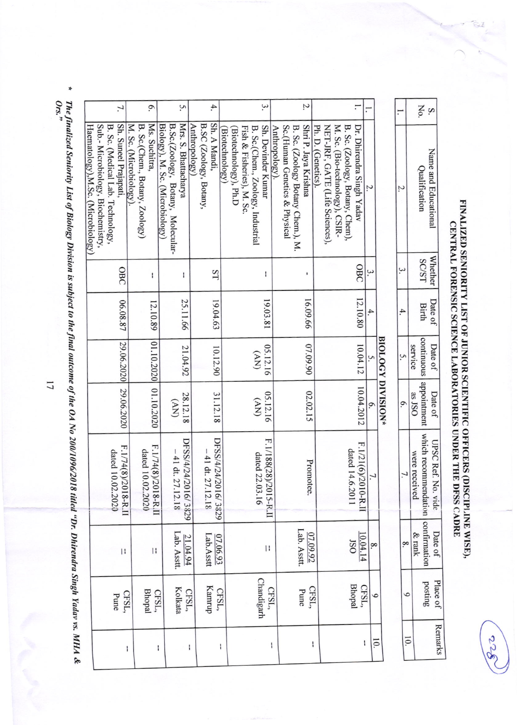FINALIZED SENIORITY LIST OF JUNIOR SCIENTIFIC OFFICERS (DISCIPLINE WISE),<br>CENTRAL FORENSIC SCIENCE LABORATORIES UNDER THE DFSS CADRE

| Ņ.                                                        |                                                      |                                |                                 |                                        |   |    |                   |  |               | No.                                                            |                      |  |
|-----------------------------------------------------------|------------------------------------------------------|--------------------------------|---------------------------------|----------------------------------------|---|----|-------------------|--|---------------|----------------------------------------------------------------|----------------------|--|
| $R$ Sc (Zooloov Rotany Chem.). M.<br>Shri P. Jaya Krishna | Ph. D. (Genetics).<br>NET-JRF, GATE (Life Sciences), | M. Sc. (Bio-technology), CSIR- | B. Sc. (Zoology, Botany, Chem), | Dr. Dhirendra Singh Yadav              |   |    |                   |  |               | Qualification                                                  | Name and Educational |  |
|                                                           |                                                      |                                |                                 | OBC                                    |   |    |                   |  |               | <b>SC/ST</b>                                                   | <b>Whether</b>       |  |
|                                                           |                                                      |                                |                                 |                                        |   |    |                   |  |               | Birth                                                          | Date of              |  |
| 16.09.66   07.09.90   02.02.15                            |                                                      |                                |                                 |                                        |   |    |                   |  | service       |                                                                | Date of              |  |
|                                                           |                                                      |                                |                                 | $12.10.80$   $10.04.12$   $10.04.2012$ |   | ō. | BIOLOGY DIVISION* |  | as JSO        |                                                                | Date of              |  |
| Promotee.                                                 |                                                      |                                | dated 14.6.2011                 | F.1/21(6)/2010-R.I                     |   |    |                   |  | were received | continuous   appointment   which recommendation   confirmation | UPSC Ref. No. vide   |  |
| 07.09.92<br>Lab. Asstt.                                   |                                                      |                                | <b>JSO</b>                      | 10.04.14                               |   |    |                   |  | & rank        |                                                                | Date of              |  |
| CFSL,<br>Pune                                             |                                                      |                                |                                 | CFSL,<br>Bhopal                        |   |    |                   |  |               | posting                                                        | Place of             |  |
| ١                                                         |                                                      |                                |                                 |                                        | l |    |                   |  |               |                                                                | <b>Remarks</b>       |  |

| 6.                                                                                             |                                                                           | S.                                                                                           | 4.                                                      |                                        | 3.                                                                                   |                       |                                                                    | Z.                   |                                                      |                                                                   |                                       |                |                   |
|------------------------------------------------------------------------------------------------|---------------------------------------------------------------------------|----------------------------------------------------------------------------------------------|---------------------------------------------------------|----------------------------------------|--------------------------------------------------------------------------------------|-----------------------|--------------------------------------------------------------------|----------------------|------------------------------------------------------|-------------------------------------------------------------------|---------------------------------------|----------------|-------------------|
| 1.                                                                                             |                                                                           |                                                                                              |                                                         |                                        |                                                                                      |                       |                                                                    |                      |                                                      |                                                                   |                                       |                |                   |
| Sh. Suneel Prajapati,<br>B. Sc. (Medical Lab. Technology,<br>Sub.- Microbiology, Biochemistry, | Ms. Suchitra,<br>M. Sc. (Microbiology).<br>B. Sc.(Chem., Botany, Zoology) | Mrs. S. Bhattacharya<br>Biology), M. Sc. (Microbiology)<br>B.Sc.(Zoology, Botany, Molecular- | Sh. A Mandi,<br>B.SC (Zoology, Botany,<br>Anthropology) | Biotechnology), Ph.D<br>Biotechnology) | Sh. Devinder Kumar<br>Fish & Fisheries), M. Sc.<br>B. Sc.(Chem., Zoology, Industrial | Anthropology).        | Sc.(Human Genetics & Physical<br>B. Sc. (Zoology Botany Chem.), M. | Shri P. Jaya Krishna | Ph. D. (Genetics).<br>NET-JRF, GATE (Life Sciences), | M. Sc. (Bio-technology), CSIR-<br>B. Sc. (Zoology, Botany, Chem), | Dr. Dhirendra Singh Yadav             |                |                   |
| OBC                                                                                            | I                                                                         | I                                                                                            | ST                                                      |                                        |                                                                                      | ł                     |                                                                    |                      |                                                      |                                                                   | OBC                                   | ω              |                   |
| 06.08.87                                                                                       | 12.10.89                                                                  | 25.11.66                                                                                     | 19.04.63                                                |                                        |                                                                                      | 19.03.81              |                                                                    | 16.09.66             |                                                      |                                                                   | 12.10.80                              | $\overline{4}$ |                   |
| 29.06.2020                                                                                     |                                                                           | 21.04.92                                                                                     | 10.12.90                                                |                                        | (WV)                                                                                 | 05.12.16              |                                                                    | 02.09.90             |                                                      |                                                                   | 10.04.12                              |                | BIOLOGY DIVISION* |
| 29.06.2020                                                                                     | 01.10.2020 01.10.2020                                                     | 28.12.18<br>(NV)                                                                             | 31.12.18                                                |                                        | (WV)                                                                                 | 05.12.16              |                                                                    | 02.02.15             |                                                      |                                                                   | 10.04.2012                            | 0.             |                   |
| F.1/74(8)/2018-R.II<br>dated 10.02.2020                                                        | dated 10.02.2020                                                          | DFSS/4/24/2016/3829<br>F.1/74(8)/2018-R.II<br>$-41 dt$ : 27.12.18                            | DFSS/4/24/2016/3829<br>$-41$ dt. 27.12.18               |                                        | dated 22.03.16                                                                       | F.1/188(28)/2015-R.II |                                                                    | Promotee             |                                                      |                                                                   | F.1/21(6)/2010-R.I<br>dated 14.6.2011 | 7.             |                   |
| $\mathbf{H}$                                                                                   | $\vert \, \vert$                                                          | Lab. Asstt.<br>21.04.94                                                                      | Lab.Asstt<br>07.06.93                                   |                                        |                                                                                      | $\vert \, \vert$      | Lab. Asstt.                                                        | 07.09.92             |                                                      |                                                                   | 10.04.14<br><b>OSI</b>                | $\infty$       |                   |
| Pune                                                                                           | <b>Bhopal</b><br>CFSL,                                                    | Kolkata<br>CFSL,<br>CFSL,                                                                    | Kamrup                                                  | CFSL,                                  | Chandigarh                                                                           | CFSL,                 |                                                                    | CFSL,<br>Pune        |                                                      |                                                                   | <b>Bhopal</b><br>CFSL,                | $\circ$        |                   |
|                                                                                                | $\mathsf{I}$                                                              | $\mathbf{I}$<br>ł                                                                            |                                                         | I                                      |                                                                                      | I                     |                                                                    | I                    |                                                      |                                                                   | $\mathfrak l$                         | ΙÓ.            |                   |

\* The finalized Seniority List of Biology Division is subject to the final outcome of the OA No 200/1096/2018 titled "Dr. Dhirendra Singh Yadav vs. MHA &<br>Ors."

 $\overline{1}$ 

822